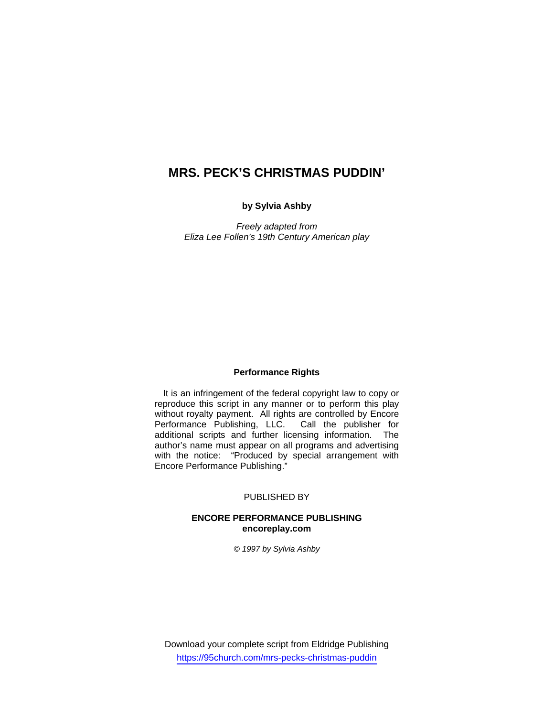# **MRS. PECK'S CHRISTMAS PUDDIN'**

### **by Sylvia Ashby**

*Freely adapted from Eliza Lee Follen's 19th Century American play* 

#### **Performance Rights**

It is an infringement of the federal copyright law to copy or reproduce this script in any manner or to perform this play without royalty payment. All rights are controlled by Encore Performance Publishing, LLC. Call the publisher for additional scripts and further licensing information. The author's name must appear on all programs and advertising with the notice: "Produced by special arrangement with Encore Performance Publishing."

#### PUBLISHED BY

## **ENCORE PERFORMANCE PUBLISHING encoreplay.com**

#### *© 1997 by Sylvia Ashby*

Download your complete script from Eldridge Publishing https://95church.com/mrs-pecks-christmas-puddin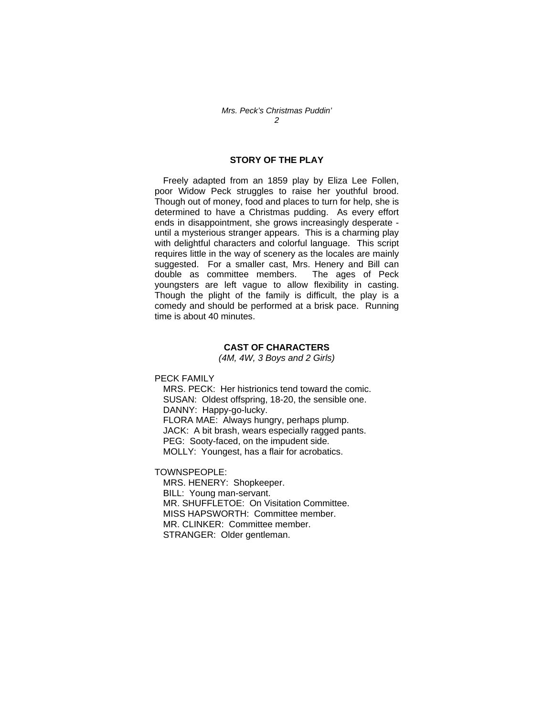# **STORY OF THE PLAY**

Freely adapted from an 1859 play by Eliza Lee Follen, poor Widow Peck struggles to raise her youthful brood. Though out of money, food and places to turn for help, she is determined to have a Christmas pudding. As every effort ends in disappointment, she grows increasingly desperate until a mysterious stranger appears. This is a charming play with delightful characters and colorful language. This script requires little in the way of scenery as the locales are mainly suggested. For a smaller cast, Mrs. Henery and Bill can double as committee members. The ages of Peck youngsters are left vague to allow flexibility in casting. Though the plight of the family is difficult, the play is a comedy and should be performed at a brisk pace. Running time is about 40 minutes.

## **CAST OF CHARACTERS**

*(4M, 4W, 3 Boys and 2 Girls)* 

PECK FAMILY

 MRS. PECK: Her histrionics tend toward the comic. SUSAN: Oldest offspring, 18-20, the sensible one. DANNY: Happy-go-lucky. FLORA MAE: Always hungry, perhaps plump. JACK: A bit brash, wears especially ragged pants. PEG: Sooty-faced, on the impudent side. MOLLY: Youngest, has a flair for acrobatics.

TOWNSPEOPLE:

 MRS. HENERY: Shopkeeper. BILL: Young man-servant. MR. SHUFFLETOE: On Visitation Committee. MISS HAPSWORTH: Committee member. MR. CLINKER: Committee member. STRANGER: Older gentleman.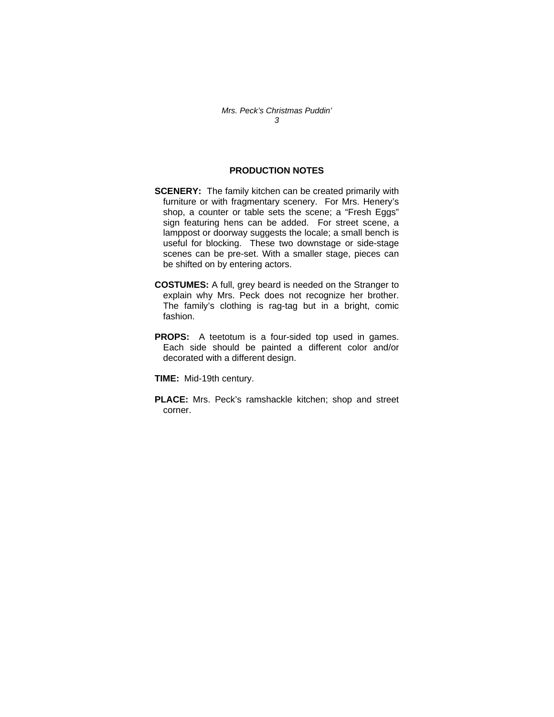# **PRODUCTION NOTES**

- **SCENERY:** The family kitchen can be created primarily with furniture or with fragmentary scenery. For Mrs. Henery's shop, a counter or table sets the scene; a "Fresh Eggs" sign featuring hens can be added. For street scene, a lamppost or doorway suggests the locale; a small bench is useful for blocking. These two downstage or side-stage scenes can be pre-set. With a smaller stage, pieces can be shifted on by entering actors.
- **COSTUMES:** A full, grey beard is needed on the Stranger to explain why Mrs. Peck does not recognize her brother. The family's clothing is rag-tag but in a bright, comic fashion.
- **PROPS:** A teetotum is a four-sided top used in games. Each side should be painted a different color and/or decorated with a different design.

**TIME:** Mid-19th century.

**PLACE:** Mrs. Peck's ramshackle kitchen; shop and street corner.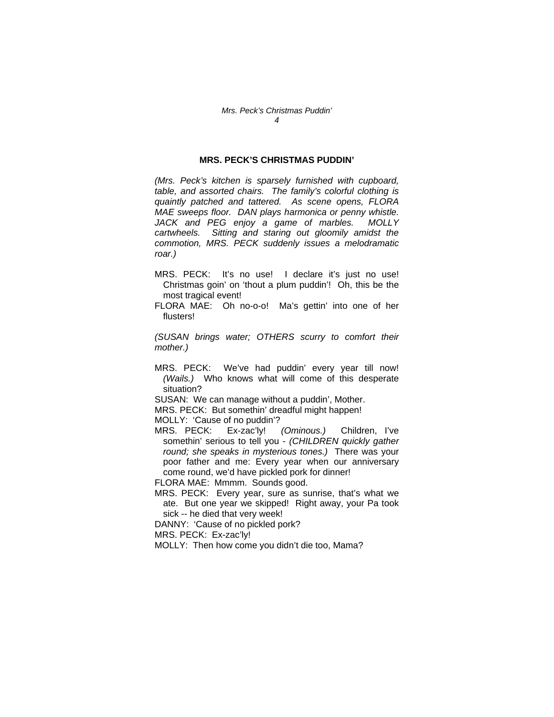## **MRS. PECK'S CHRISTMAS PUDDIN'**

*(Mrs. Peck's kitchen is sparsely furnished with cupboard, table, and assorted chairs. The family's colorful clothing is quaintly patched and tattered. As scene opens, FLORA MAE sweeps floor. DAN plays harmonica or penny whistle. JACK and PEG enjoy a game of marbles. MOLLY cartwheels. Sitting and staring out gloomily amidst the commotion, MRS. PECK suddenly issues a melodramatic roar.)* 

- MRS. PECK: It's no use! I declare it's just no use! Christmas goin' on 'thout a plum puddin'! Oh, this be the most tragical event!
- FLORA MAE: Oh no-o-o! Ma's gettin' into one of her flusters!

*(SUSAN brings water; OTHERS scurry to comfort their mother.)* 

MRS. PECK: We've had puddin' every year till now! *(Wails.)* Who knows what will come of this desperate situation?

SUSAN: We can manage without a puddin', Mother.

MRS. PECK: But somethin' dreadful might happen!

MOLLY: 'Cause of no puddin'?

MRS. PECK: Ex-zac'ly! *(Ominous.)* Children, I've somethin' serious to tell you - *(CHILDREN quickly gather round; she speaks in mysterious tones.)* There was your poor father and me: Every year when our anniversary come round, we'd have pickled pork for dinner!

FLORA MAE: Mmmm. Sounds good.

MRS. PECK: Every year, sure as sunrise, that's what we ate. But one year we skipped! Right away, your Pa took sick -- he died that very week!

DANNY: 'Cause of no pickled pork?

MRS. PECK: Ex-zac'ly!

MOLLY: Then how come you didn't die too, Mama?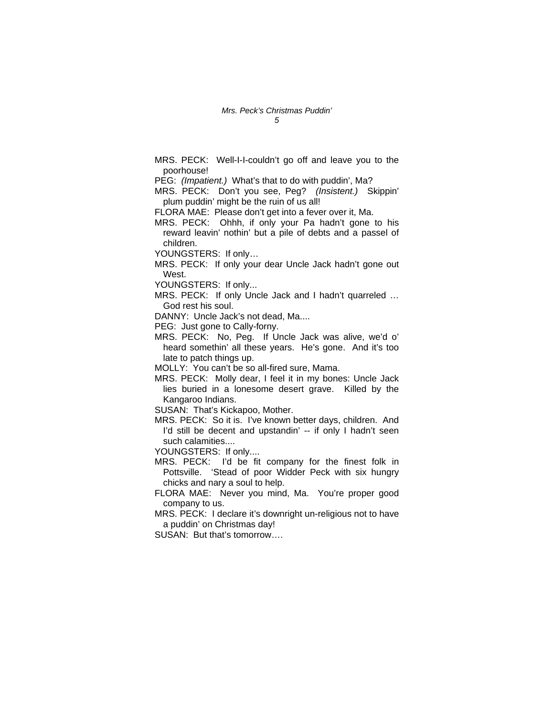MRS. PECK: Well-I-I-couldn't go off and leave you to the poorhouse!

PEG: *(Impatient.)* What's that to do with puddin', Ma?

MRS. PECK: Don't you see, Peg? *(Insistent.)* Skippin' plum puddin' might be the ruin of us all!

FLORA MAE: Please don't get into a fever over it, Ma.

MRS. PECK: Ohhh, if only your Pa hadn't gone to his reward leavin' nothin' but a pile of debts and a passel of children.

YOUNGSTERS: If only…

MRS. PECK: If only your dear Uncle Jack hadn't gone out West.

YOUNGSTERS: If only...

- MRS. PECK: If only Uncle Jack and I hadn't quarreled … God rest his soul.
- DANNY: Uncle Jack's not dead, Ma....

PEG: Just gone to Cally-forny.

MRS. PECK: No, Peg. If Uncle Jack was alive, we'd o' heard somethin' all these years. He's gone. And it's too late to patch things up.

MOLLY: You can't be so all-fired sure, Mama.

MRS. PECK: Molly dear, I feel it in my bones: Uncle Jack lies buried in a lonesome desert grave. Killed by the Kangaroo Indians.

SUSAN: That's Kickapoo, Mother.

MRS. PECK: So it is. I've known better days, children. And I'd still be decent and upstandin' -- if only I hadn't seen such calamities....

YOUNGSTERS: If only....

- MRS. PECK: I'd be fit company for the finest folk in Pottsville. 'Stead of poor Widder Peck with six hungry chicks and nary a soul to help.
- FLORA MAE: Never you mind, Ma. You're proper good company to us.
- MRS. PECK: I declare it's downright un-religious not to have a puddin' on Christmas day!

SUSAN: But that's tomorrow….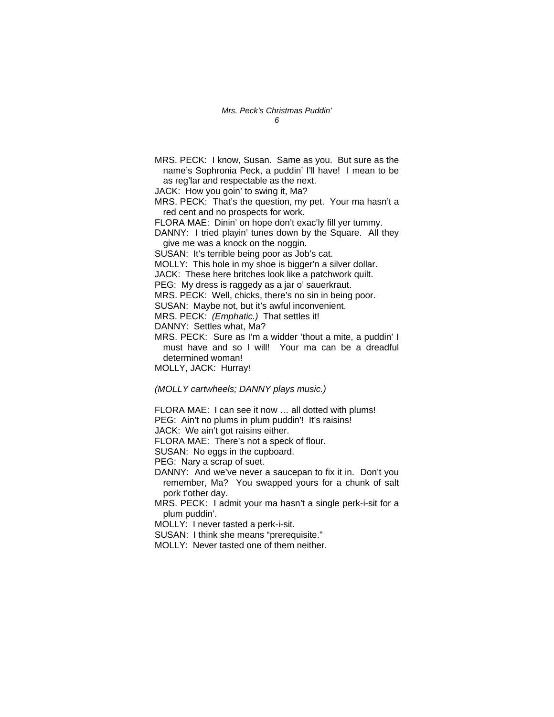MRS. PECK: I know, Susan. Same as you. But sure as the name's Sophronia Peck, a puddin' I'll have! I mean to be as reg'lar and respectable as the next.

JACK: How you goin' to swing it, Ma?

MRS. PECK: That's the question, my pet. Your ma hasn't a red cent and no prospects for work.

FLORA MAE: Dinin' on hope don't exac'ly fill yer tummy.

DANNY: I tried playin' tunes down by the Square. All they give me was a knock on the noggin.

SUSAN: It's terrible being poor as Job's cat.

MOLLY: This hole in my shoe is bigger'n a silver dollar.

JACK: These here britches look like a patchwork quilt.

PEG: My dress is raggedy as a jar o' sauerkraut.

MRS. PECK: Well, chicks, there's no sin in being poor.

SUSAN: Maybe not, but it's awful inconvenient.

MRS. PECK: *(Emphatic.)* That settles it!

DANNY: Settles what, Ma?

MRS. PECK: Sure as I'm a widder 'thout a mite, a puddin' I must have and so I will! Your ma can be a dreadful determined woman!

MOLLY, JACK: Hurray!

*(MOLLY cartwheels; DANNY plays music.)* 

FLORA MAE: I can see it now … all dotted with plums!

PEG: Ain't no plums in plum puddin'! It's raisins!

JACK: We ain't got raisins either.

FLORA MAE: There's not a speck of flour.

SUSAN: No eggs in the cupboard.

PEG: Nary a scrap of suet.

DANNY: And we've never a saucepan to fix it in. Don't you remember, Ma? You swapped yours for a chunk of salt pork t'other day.

MRS. PECK: I admit your ma hasn't a single perk-i-sit for a plum puddin'.

MOLLY: I never tasted a perk-i-sit.

SUSAN: I think she means "prerequisite."

MOLLY: Never tasted one of them neither.